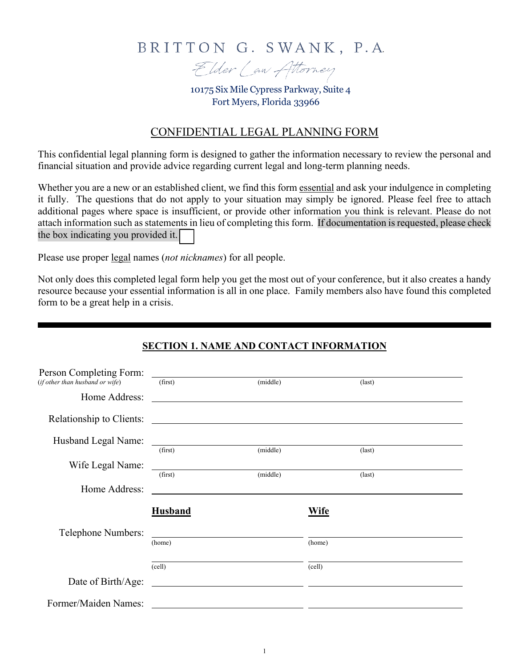## BRITTON G. SWANK, P.A.



10175 Six Mile Cypress Parkway, Suite 4 Fort Myers, Florida 33966

## CONFIDENTIAL LEGAL PLANNING FORM

This confidential legal planning form is designed to gather the information necessary to review the personal and financial situation and provide advice regarding current legal and long-term planning needs.

Whether you are a new or an established client, we find this form essential and ask your indulgence in completing it fully. The questions that do not apply to your situation may simply be ignored. Please feel free to attach additional pages where space is insufficient, or provide other information you think is relevant. Please do not attach information such as statements in lieu of completing this form. If documentation is requested, please check the box indicating you provided it.

Please use proper legal names (*not nicknames*) for all people.

Not only does this completed legal form help you get the most out of your conference, but it also creates a handy resource because your essential information is all in one place. Family members also have found this completed form to be a great help in a crisis.

## **SECTION 1. NAME AND CONTACT INFORMATION**

| Person Completing Form:         |                                                                                                                        |                 |                 |
|---------------------------------|------------------------------------------------------------------------------------------------------------------------|-----------------|-----------------|
| (if other than husband or wife) | (first)                                                                                                                | (middle)        | $\text{(last)}$ |
| Home Address:                   | <u> 1989 - Andrea Andrew Maria (h. 1989).</u>                                                                          |                 |                 |
| Relationship to Clients:        | <u> 1989 - Andrea Station Barbara (h. 1989).</u>                                                                       |                 |                 |
| Husband Legal Name:             | <u> 1980 - John Stein, Amerikaansk politiker (</u>                                                                     |                 |                 |
|                                 | (first)                                                                                                                | (middle)        | $\text{(last)}$ |
| Wife Legal Name:                | <u> 1989 - Andrea Stadt British Stadt British Stadt British Stadt British Stadt British Stadt British Stadt Britis</u> |                 |                 |
|                                 | (first)                                                                                                                | (middle)        | $\text{(last)}$ |
| Home Address:                   | <u> 1989 - Andrea Barbara, politikar politikar (h. 1989).</u>                                                          |                 |                 |
|                                 | <b>Husband</b>                                                                                                         | Wife            |                 |
| Telephone Numbers:              |                                                                                                                        |                 |                 |
|                                 |                                                                                                                        |                 |                 |
|                                 | (home)                                                                                                                 | (home)          |                 |
|                                 | (cell)                                                                                                                 | $\text{(cell)}$ |                 |
| Date of Birth/Age:              | <u> 1980 - Jan Samuel Barbara, político establecera en la contrada de la contrada de la contrada de la contrada d</u>  |                 |                 |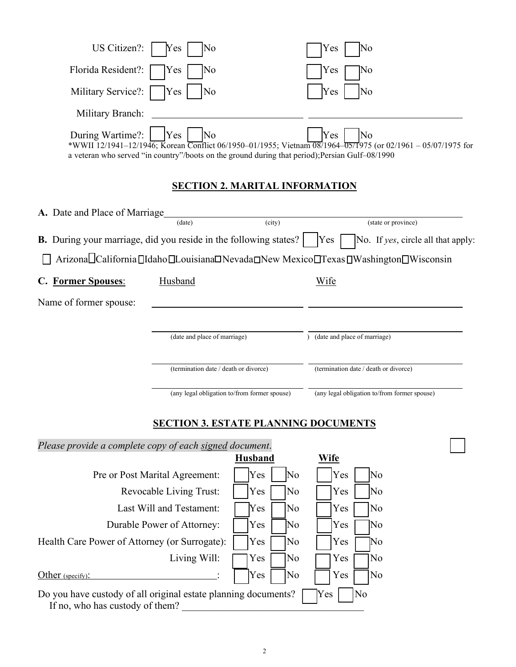| US Citizen?: $\begin{array}{ c c c c c } \hline \text{Yes} & \text{No} \\\hline \end{array}$                                                                                                                                                                                     | $ Yes $ No                 |
|----------------------------------------------------------------------------------------------------------------------------------------------------------------------------------------------------------------------------------------------------------------------------------|----------------------------|
| Florida Resident?: Yes No                                                                                                                                                                                                                                                        | $\vert$ Yes $\vert$ No     |
| Military Service?: $\Box$ Yes $\Box$ No                                                                                                                                                                                                                                          | Yes<br>$\overline{\rm No}$ |
| Military Branch:                                                                                                                                                                                                                                                                 |                            |
| During Wartime?: Yes No<br>During Wartime?: <u> </u> Yes   No<br>*WWII 12/1941–12/1946; Korean Conflict 06/1950–01/1955; Vietnam 08/1964–05/1975 (or 02/1961 – 05/07/1975 for<br>a veteran who served "in country"/boots on the ground during that period); Persian Gulf-08/1990 |                            |

## **SECTION 2. MARITAL INFORMATION**

| A. Date and Place of Marriage |                                                                                       |        |                                              |
|-------------------------------|---------------------------------------------------------------------------------------|--------|----------------------------------------------|
|                               | (date)                                                                                | (city) | (state or province)                          |
|                               | <b>B.</b> During your marriage, did you reside in the following states?               | Yes    | No. If yes, circle all that apply:           |
|                               | Arizona California IIdaho ILouisiana DNevada New Mexico ITexas IWashington IWisconsin |        |                                              |
| C. Former Spouses:            | Husband                                                                               | Wife   |                                              |
| Name of former spouse:        |                                                                                       |        |                                              |
|                               | (date and place of marriage)                                                          |        | (date and place of marriage)                 |
|                               | (termination date / death or divorce)                                                 |        | (termination date / death or divorce)        |
|                               | (any legal obligation to/from former spouse)                                          |        | (any legal obligation to/from former spouse) |

## **SECTION 3. ESTATE PLANNING DOCUMENTS**

| Please provide a complete copy of each signed document.                                           |                |                            |  |
|---------------------------------------------------------------------------------------------------|----------------|----------------------------|--|
|                                                                                                   | <b>Husband</b> | Wife                       |  |
| Pre or Post Marital Agreement:                                                                    | Yes<br>No      | Yes<br>$\overline{\rm No}$ |  |
| <b>Revocable Living Trust:</b>                                                                    | Yes<br>No      | Yes<br>$\overline{\rm No}$ |  |
| Last Will and Testament:                                                                          | Yes<br>No      | Yes<br>N <sub>o</sub>      |  |
| Durable Power of Attorney:                                                                        | Yes<br>No      | Yes<br>No                  |  |
| Health Care Power of Attorney (or Surrogate):                                                     | Yes<br>No      | Yes<br>No                  |  |
| Living Will:                                                                                      | Yes<br> No     | Yes<br>No                  |  |
| Other (specify):                                                                                  | Yes<br>No      | Yes<br>No                  |  |
| Do you have custody of all original estate planning documents?<br>If no, who has custody of them? |                | Yes<br>No                  |  |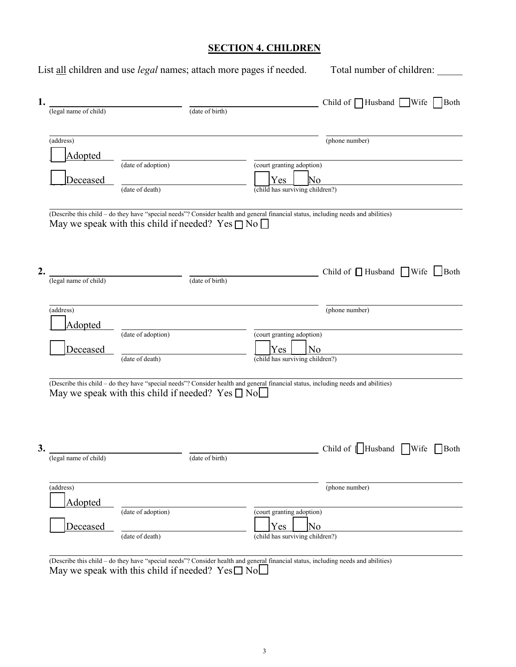## **SECTION 4. CHILDREN**

|    |                                  | List all children and use legal names; attach more pages if needed.             |                 |                                                                           | Total number of children:                                                                                                                                                               |
|----|----------------------------------|---------------------------------------------------------------------------------|-----------------|---------------------------------------------------------------------------|-----------------------------------------------------------------------------------------------------------------------------------------------------------------------------------------|
| 1. | (legal name of child)            |                                                                                 | (date of birth) |                                                                           | Child of $\Box$ Husband $\Box$ Wife $\Box$ Both                                                                                                                                         |
|    | (address)<br>Adopted             |                                                                                 |                 |                                                                           | (phone number)                                                                                                                                                                          |
|    | Deceased                         | (date of adoption)<br>(date of death)                                           |                 | (court granting adoption)<br>Yes<br>No<br>(child has surviving children?) |                                                                                                                                                                                         |
| 2. | (legal name of child)            | May we speak with this child if needed? Yes $\Box$ No $\Box$                    | (date of birth) |                                                                           | (Describe this child - do they have "special needs"? Consider health and general financial status, including needs and abilities)<br>Child of $\Box$ Husband $\Box$ Wife $\Box$ Both    |
|    | (address)<br>Adopted<br>Deceased | (date of adoption)                                                              |                 | (court granting adoption)<br>Yes <sub>1</sub><br>N <sub>o</sub>           | (phone number)                                                                                                                                                                          |
| 3. | (legal name of child)            | (date of death)<br>May we speak with this child if needed? Yes $\Box$ No $\Box$ | (date of birth) | (child has surviving children?)                                           | (Describe this child - do they have "special needs"? Consider health and general financial status, including needs and abilities)<br>Child of $\Box$ Husband $\Box$ Wife<br>$\Box$ Both |
|    | (address)                        |                                                                                 |                 |                                                                           | (phone number)                                                                                                                                                                          |
|    | Adopted<br>Deceased              | (date of adoption)<br>(date of death)                                           |                 | (court granting adoption)<br>Yes<br>No<br>(child has surviving children?) |                                                                                                                                                                                         |
|    |                                  |                                                                                 |                 |                                                                           | (Describe this child - do they have "special needs"? Consider health and general financial status, including needs and abilities)                                                       |

May we speak with this child if needed?  $Yes \Box No \Box$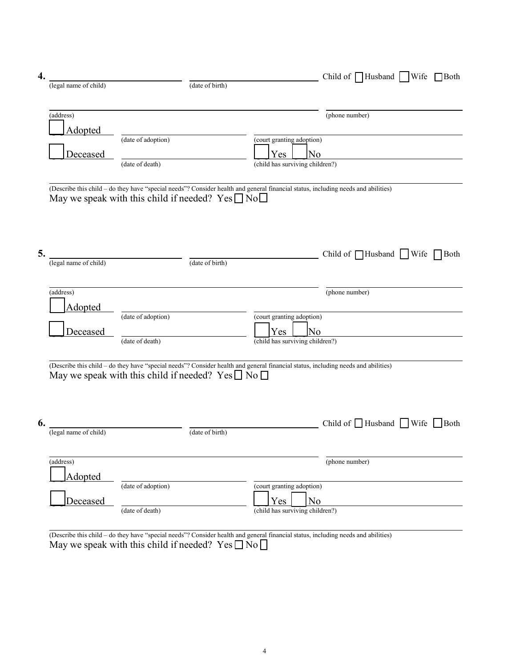| 4. |                       |                                                                                                                                                                                                   |                                              | Child of $\Box$ Husband $\Box$ Wife $\Box$ Both |      |
|----|-----------------------|---------------------------------------------------------------------------------------------------------------------------------------------------------------------------------------------------|----------------------------------------------|-------------------------------------------------|------|
|    | (legal name of child) | (date of birth)                                                                                                                                                                                   |                                              |                                                 |      |
|    |                       |                                                                                                                                                                                                   |                                              |                                                 |      |
|    | (address)             |                                                                                                                                                                                                   |                                              | (phone number)                                  |      |
|    | Adopted               | (date of adoption)                                                                                                                                                                                |                                              |                                                 |      |
|    |                       |                                                                                                                                                                                                   | (court granting adoption)                    |                                                 |      |
|    | Deceased              | (date of death)                                                                                                                                                                                   | No<br>Yes<br>(child has surviving children?) |                                                 |      |
|    |                       |                                                                                                                                                                                                   |                                              |                                                 |      |
|    |                       | (Describe this child - do they have "special needs"? Consider health and general financial status, including needs and abilities)                                                                 |                                              |                                                 |      |
|    |                       | May we speak with this child if needed? $Yes \Box No \Box$                                                                                                                                        |                                              |                                                 |      |
|    |                       |                                                                                                                                                                                                   |                                              |                                                 |      |
|    |                       |                                                                                                                                                                                                   |                                              |                                                 |      |
|    |                       |                                                                                                                                                                                                   |                                              |                                                 |      |
| 5. | (legal name of child) | (date of birth)                                                                                                                                                                                   |                                              | Child of $\Box$ Husband $\Box$ Wife $\Box$      | Both |
|    |                       |                                                                                                                                                                                                   |                                              |                                                 |      |
|    | (address)             |                                                                                                                                                                                                   |                                              | (phone number)                                  |      |
|    |                       |                                                                                                                                                                                                   |                                              |                                                 |      |
|    | Adopted               | (date of adoption)                                                                                                                                                                                | (court granting adoption)                    |                                                 |      |
|    | Deceased              |                                                                                                                                                                                                   | No<br>Yes                                    |                                                 |      |
|    |                       | (date of death)                                                                                                                                                                                   | (child has surviving children?)              |                                                 |      |
|    |                       |                                                                                                                                                                                                   |                                              |                                                 |      |
|    |                       | (Describe this child - do they have "special needs"? Consider health and general financial status, including needs and abilities)<br>May we speak with this child if needed? Yes $\Box$ No $\Box$ |                                              |                                                 |      |
|    |                       |                                                                                                                                                                                                   |                                              |                                                 |      |
|    |                       |                                                                                                                                                                                                   |                                              |                                                 |      |
|    |                       |                                                                                                                                                                                                   |                                              |                                                 |      |
| 6. | (legal name of child) | (date of birth)                                                                                                                                                                                   |                                              | Child of $\Box$ Husband $\Box$ Wife $\Box$ Both |      |
|    |                       |                                                                                                                                                                                                   |                                              |                                                 |      |
|    |                       |                                                                                                                                                                                                   |                                              |                                                 |      |
|    | (address)             |                                                                                                                                                                                                   |                                              | (phone number)                                  |      |
|    | <b>Adopted</b>        | (date of adoption)                                                                                                                                                                                | (court granting adoption)                    |                                                 |      |
|    | Deceased              |                                                                                                                                                                                                   | Yes<br>N <sub>o</sub>                        |                                                 |      |
|    |                       | (date of death)                                                                                                                                                                                   | (child has surviving children?)              |                                                 |      |
|    |                       |                                                                                                                                                                                                   |                                              |                                                 |      |
|    |                       | (Describe this child - do they have "special needs"? Consider health and general financial status, including needs and abilities)                                                                 |                                              |                                                 |      |

May we speak with this child if needed?  $\text{Yes} \square \text{No} \square$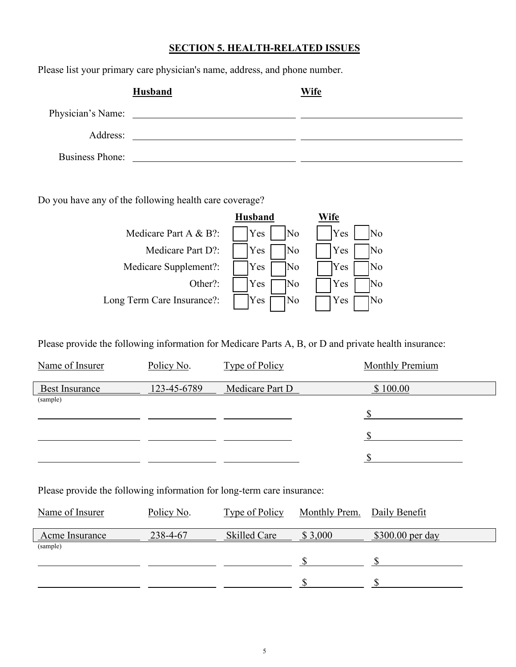#### **SECTION 5. HEALTH-RELATED ISSUES**

Please list your primary care physician's name, address, and phone number.

|                        | Husband                                                                                                               | Wife |
|------------------------|-----------------------------------------------------------------------------------------------------------------------|------|
| Physician's Name:      | <u> 1980 - Jan Barbara Barbara, prima prima prima prima prima prima prima prima prima prima prima prima prima pri</u> |      |
| Address:               |                                                                                                                       |      |
| <b>Business Phone:</b> |                                                                                                                       |      |

Do you have any of the following health care coverage?



Please provide the following information for Medicare Parts A, B, or D and private health insurance:

| Name of Insurer       | Policy No.  | <b>Type of Policy</b> | <b>Monthly Premium</b> |
|-----------------------|-------------|-----------------------|------------------------|
| <b>Best Insurance</b> | 123-45-6789 | Medicare Part D       | \$100.00               |
| (sample)              |             |                       |                        |
|                       |             |                       |                        |
|                       |             |                       |                        |
|                       |             |                       |                        |

Please provide the following information for long-term care insurance:

| Name of Insurer | Policy No. | Type of Policy | Monthly Prem. Daily Benefit |                   |
|-----------------|------------|----------------|-----------------------------|-------------------|
| Acme Insurance  | 238-4-67   | Skilled Care   | \$3,000                     | $$300.00$ per day |
| (sample)        |            |                |                             |                   |
|                 |            |                |                             |                   |
|                 |            |                |                             |                   |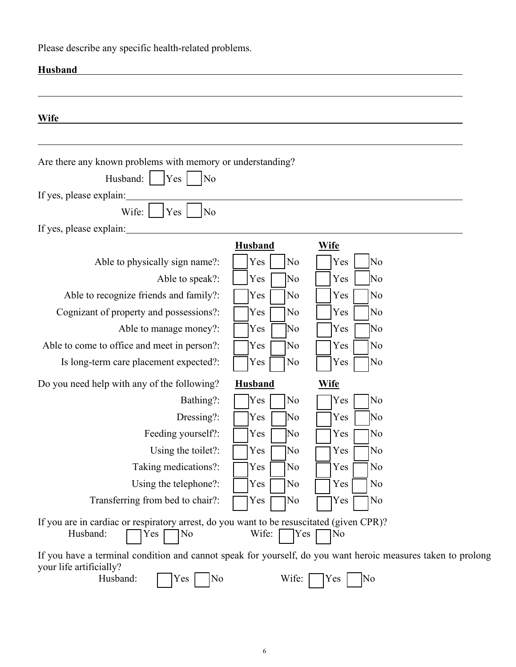Please describe any specific health-related problems.

| <b>Husband</b>                                                                                                                                                    |                |                       |  |
|-------------------------------------------------------------------------------------------------------------------------------------------------------------------|----------------|-----------------------|--|
| <b>Wife</b>                                                                                                                                                       |                |                       |  |
| Are there any known problems with memory or understanding?<br>Husband:<br> Yes <br>No<br>If yes, please explain:<br>Wife:<br>No<br>Yes<br>If yes, please explain: |                |                       |  |
|                                                                                                                                                                   | <b>Husband</b> | <b>Wife</b>           |  |
| Able to physically sign name?:                                                                                                                                    | No<br>Yes      | Yes<br>No             |  |
| Able to speak?:                                                                                                                                                   | Yes<br>No      | No<br>Yes             |  |
| Able to recognize friends and family?:                                                                                                                            | Yes<br>No      | No<br>Yes             |  |
| Cognizant of property and possessions?:                                                                                                                           | No<br>Yes      | No<br>Yes             |  |
| Able to manage money?:                                                                                                                                            | No<br>Yes      | No<br>Yes             |  |
| Able to come to office and meet in person?:                                                                                                                       | Yes<br>No      | No<br>Yes             |  |
| Is long-term care placement expected?:                                                                                                                            | No<br>Yes      | No<br>Yes             |  |
| Do you need help with any of the following?                                                                                                                       | <b>Husband</b> | <b>Wife</b>           |  |
| Bathing?:                                                                                                                                                         | No<br>Yes      | No<br>Yes             |  |
| Dressing?:                                                                                                                                                        | No<br>Yes      | No<br>Yes             |  |
| Feeding yourself?:                                                                                                                                                | No<br>Yes      | No<br>Yes             |  |
| Using the toilet?:                                                                                                                                                | Yes<br>No      | No<br>Yes             |  |
| Taking medications?:                                                                                                                                              | Yes<br>No      | No<br>Yes             |  |
| Using the telephone?:                                                                                                                                             | No<br>Yes      | N <sub>o</sub><br>Yes |  |
| Transferring from bed to chair?:                                                                                                                                  | No<br>Yes      | No<br>Yes             |  |
| If you are in cardiac or respiratory arrest, do you want to be resuscitated (given CPR)?<br>Husband:<br>No<br>Yes                                                 | Wife:<br>Yes   | No                    |  |
| If you have a terminal condition and cannot speak for yourself, do you want heroic measures taken to prolong<br>your life artificially?<br>Husband:<br>No<br>Yes  | Wife:          | No<br>Yes             |  |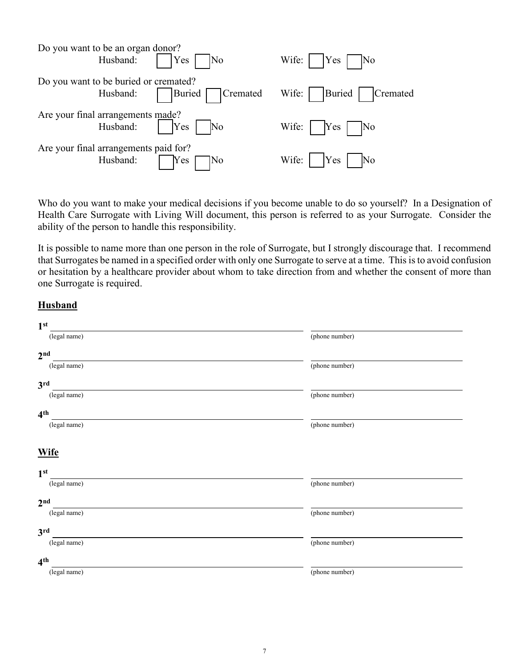| Do you want to be an organ donor?                                        |                                     |                                                      |  |  |
|--------------------------------------------------------------------------|-------------------------------------|------------------------------------------------------|--|--|
|                                                                          | Husband: $\bigcap$ Yes $\bigcap$ No | Wife: $\vert$ Yes $\vert$ No                         |  |  |
| Do you want to be buried or cremated?                                    |                                     |                                                      |  |  |
|                                                                          |                                     | Husband: Buried Cremated Wife:    Buried    Cremated |  |  |
|                                                                          |                                     |                                                      |  |  |
| Are your final arrangements made?<br>Husband: $\bigcap$ Yes $\bigcap$ No |                                     | Wife: $\big $ Yes $\bigcap$ No                       |  |  |
| Are your final arrangements paid for?                                    |                                     |                                                      |  |  |
| Husband:                                                                 | Yes<br>]No                          | Wife:       Yes       No                             |  |  |

Who do you want to make your medical decisions if you become unable to do so yourself? In a Designation of Health Care Surrogate with Living Will document, this person is referred to as your Surrogate. Consider the ability of the person to handle this responsibility.

It is possible to name more than one person in the role of Surrogate, but I strongly discourage that. I recommend that Surrogates be named in a specified order with only one Surrogate to serve at a time. This is to avoid confusion or hesitation by a healthcare provider about whom to take direction from and whether the consent of more than one Surrogate is required.

#### **Husband**

| 1 <sup>st</sup> |                |
|-----------------|----------------|
| (legal name)    | (phone number) |
| 2 <sup>nd</sup> |                |
| (legal name)    | (phone number) |
| 3 <sup>rd</sup> |                |
| (legal name)    | (phone number) |
| 4 <sup>th</sup> |                |
| (legal name)    | (phone number) |
| <b>Wife</b>     |                |
| 1 <sup>st</sup> |                |
| (legal name)    | (phone number) |
| 2 <sub>nd</sub> |                |
| (legal name)    | (phone number) |
| 3 <sup>rd</sup> |                |
| (legal name)    | (phone number) |
| 4 <sup>th</sup> |                |
| (legal name)    | (phone number) |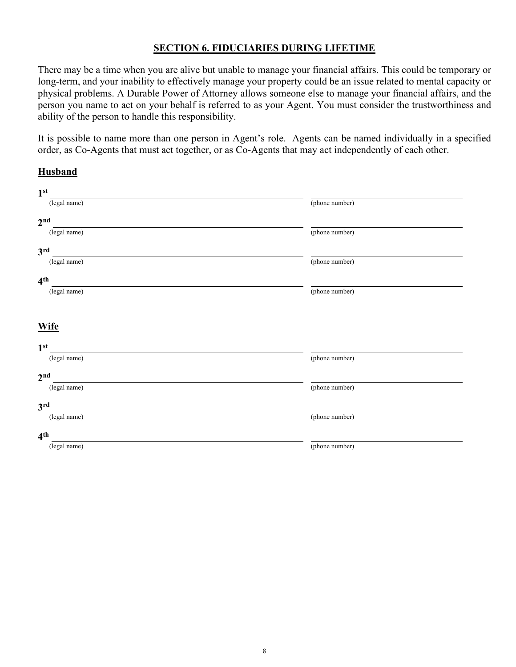#### **SECTION 6. FIDUCIARIES DURING LIFETIME**

There may be a time when you are alive but unable to manage your financial affairs. This could be temporary or long-term, and your inability to effectively manage your property could be an issue related to mental capacity or physical problems. A Durable Power of Attorney allows someone else to manage your financial affairs, and the person you name to act on your behalf is referred to as your Agent. You must consider the trustworthiness and ability of the person to handle this responsibility.

It is possible to name more than one person in Agent's role. Agents can be named individually in a specified order, as Co-Agents that must act together, or as Co-Agents that may act independently of each other.

#### **Husband**

| 1 <sup>st</sup> |                |
|-----------------|----------------|
| (legal name)    | (phone number) |
| 2 <sup>nd</sup> |                |
| (legal name)    | (phone number) |
| 3 <sup>rd</sup> |                |
| (legal name)    | (phone number) |
| 4 <sup>th</sup> |                |
| (legal name)    | (phone number) |
|                 |                |
| <b>Wife</b>     |                |
| 1 <sup>st</sup> |                |
| (legal name)    | (phone number) |
| 2 <sup>nd</sup> |                |
| (legal name)    | (phone number) |
| 3 <sup>rd</sup> |                |
| (legal name)    | (phone number) |
| 4 <sup>th</sup> |                |
| (legal name)    | (phone number) |
|                 |                |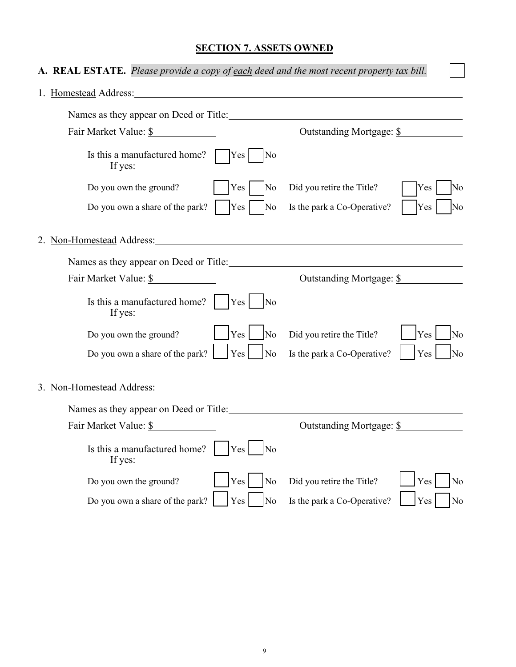## **SECTION 7. ASSETS OWNED**

| A. REAL ESTATE. Please provide a copy of each deed and the most recent property tax bill.                                                                                                                                      |                                          |
|--------------------------------------------------------------------------------------------------------------------------------------------------------------------------------------------------------------------------------|------------------------------------------|
|                                                                                                                                                                                                                                |                                          |
| Names as they appear on Deed or Title:                                                                                                                                                                                         |                                          |
| Fair Market Value: \$                                                                                                                                                                                                          | Outstanding Mortgage: \$                 |
| Is this a manufactured home?<br>Yes<br>No<br>If yes:                                                                                                                                                                           |                                          |
| Do you own the ground?<br>No<br>Yes                                                                                                                                                                                            | Did you retire the Title?<br>Yes<br>No   |
| Do you own a share of the park?<br>Yes<br>No                                                                                                                                                                                   | Yes<br>Is the park a Co-Operative?<br>No |
| 2. Non-Homestead Address: 2008. The material contract of the state of the state of the state of the state of the state of the state of the state of the state of the state of the state of the state of the state of the state |                                          |
|                                                                                                                                                                                                                                |                                          |
| Fair Market Value: \$                                                                                                                                                                                                          | Outstanding Mortgage: \$                 |
| Is this a manufactured home? $ $   $ $ Yes  <br>$\overline{\rm No}$<br>If yes:                                                                                                                                                 |                                          |
| Yes  <br>Do you own the ground?<br>N <sub>o</sub>                                                                                                                                                                              | Did you retire the Title?<br>Yes<br>No   |
| Do you own a share of the park?<br>Yes<br>No                                                                                                                                                                                   | Is the park a Co-Operative?<br>Yes<br>No |
| 3. Non-Homestead Address:                                                                                                                                                                                                      |                                          |
| Names as they appear on Deed or Title:                                                                                                                                                                                         |                                          |
| Fair Market Value: \$                                                                                                                                                                                                          | Outstanding Mortgage: \$                 |
| Is this a manufactured home?<br>Yes<br>No<br>If yes:                                                                                                                                                                           |                                          |
| Yes<br>Do you own the ground?<br>No                                                                                                                                                                                            | Did you retire the Title?<br>Yes<br>No   |
| Do you own a share of the park?<br>Yes<br>N <sub>o</sub>                                                                                                                                                                       | Is the park a Co-Operative?<br>Yes<br>No |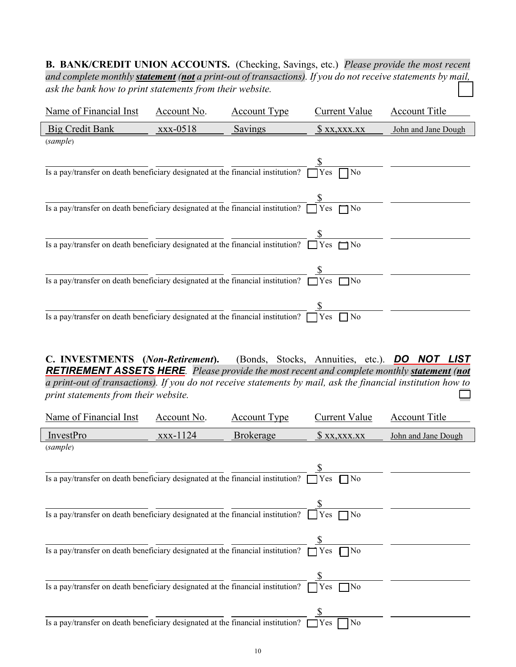**B. BANK/CREDIT UNION ACCOUNTS.** (Checking, Savings, etc.)*Please provide the most recent and complete monthly statement (not a print-out of transactions). If you do not receive statements by mail, ask the bank how to print statements from their website.* ☐

| Name of Financial Inst                                                                               | Account No. | <b>Account Type</b> | Current Value                | <b>Account Title</b> |
|------------------------------------------------------------------------------------------------------|-------------|---------------------|------------------------------|----------------------|
| <b>Big Credit Bank</b>                                                                               | xxx-0518    | Savings             | X, XXX, XXX                  | John and Jane Dough  |
| (sample)                                                                                             |             |                     |                              |                      |
| Is a pay/transfer on death beneficiary designated at the financial institution?                      |             |                     | No<br>Yes                    |                      |
| Is a pay/transfer on death beneficiary designated at the financial institution?                      |             |                     | Yes<br>$\neg$ No             |                      |
| Is a pay/transfer on death beneficiary designated at the financial institution? $\Box$ Yes $\Box$ No |             |                     |                              |                      |
| Is a pay/transfer on death beneficiary designated at the financial institution? $\Box$ Yes           |             |                     | $\neg$ No                    |                      |
| Is a pay/transfer on death beneficiary designated at the financial institution? $\lceil$             |             |                     | N <sub>0</sub><br><b>Yes</b> |                      |

**C. INVESTMENTS (***Non-Retirement***).** (Bonds, Stocks, Annuities, etc.). *DO NOT LIST RETIREMENT ASSETS HERE.**Please provide the most recent and complete monthly statement (not a print-out of transactions). If you do not receive statements by mail, ask the financial institution how to print statements from their website.*  $\Box$ 

| Name of Financial Inst                                                                     | Account No. | <b>Account Type</b> | Current Value    | <b>Account Title</b> |
|--------------------------------------------------------------------------------------------|-------------|---------------------|------------------|----------------------|
| InvestPro                                                                                  | xxx-1124    | <b>Brokerage</b>    | \$ xx, xxx. xx   | John and Jane Dough  |
| (sample)                                                                                   |             |                     |                  |                      |
| Is a pay/transfer on death beneficiary designated at the financial institution? $\Box$     |             |                     | Yes              |                      |
| Is a pay/transfer on death beneficiary designated at the financial institution?            |             |                     | Yes $\Box$ No    |                      |
| Is a pay/transfer on death beneficiary designated at the financial institution? $\Box$ Yes |             |                     | $\Box$ No        |                      |
| Is a pay/transfer on death beneficiary designated at the financial institution?            |             |                     | Yes<br>7No       |                      |
| Is a pay/transfer on death beneficiary designated at the financial institution?            |             |                     | No<br>$\Box$ Yes |                      |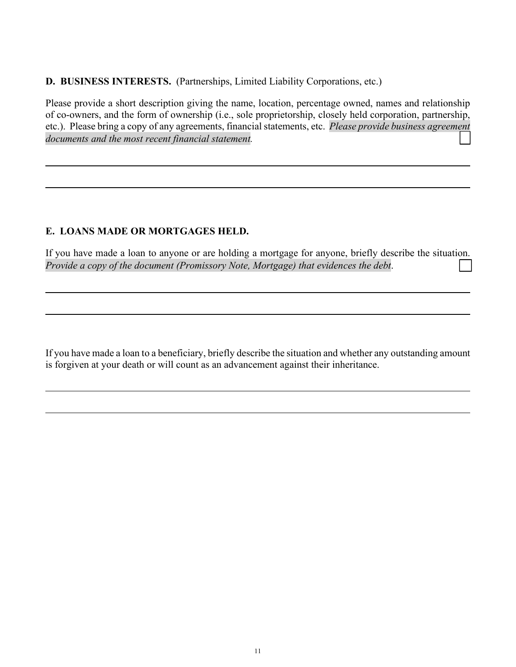**D. BUSINESS INTERESTS.** (Partnerships, Limited Liability Corporations, etc.)

Please provide a short description giving the name, location, percentage owned, names and relationship of co-owners, and the form of ownership (i.e., sole proprietorship, closely held corporation, partnership, etc.). Please bring a copy of any agreements, financial statements, etc.*Please provide business agreement*  documents and the most recent financial statement.

## **E. LOANS MADE OR MORTGAGES HELD.**

If you have made a loan to anyone or are holding a mortgage for anyone, briefly describe the situation. *Provide a copy of the document (Promissory Note, Mortgage) that evidences the debt.* 

If you have made a loan to a beneficiary, briefly describe the situation and whether any outstanding amount is forgiven at your death or will count as an advancement against their inheritance.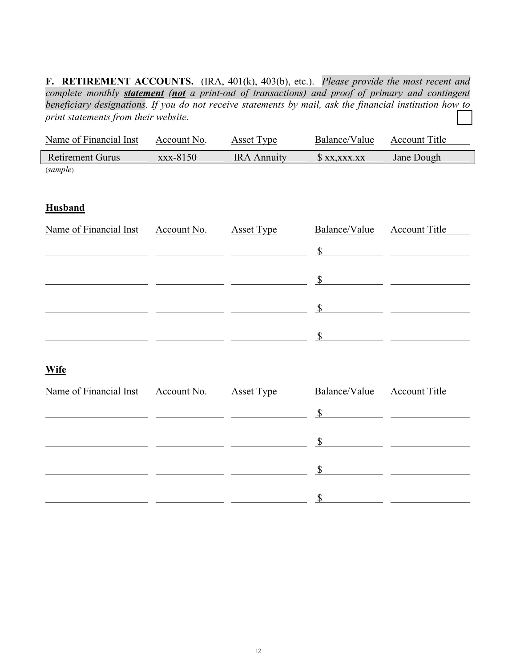**F. RETIREMENT ACCOUNTS.** (IRA, 401(k), 403(b), etc.). *Please provide the most recent and complete monthly statement (not a print-out of transactions) and proof of primary and contingent beneficiary designations. If you do not receive statements by mail, ask the financial institution how to print statements from their website.* 

| Name of Financial Inst  | Account No. | <b>Asset Type</b>  | Balance/Value             | <b>Account Title</b> |
|-------------------------|-------------|--------------------|---------------------------|----------------------|
| <b>Retirement Gurus</b> | xxx-8150    | <b>IRA Annuity</b> | $x_1, x_2, x_3, x_4$      | Jane Dough           |
| (sample)                |             |                    |                           |                      |
|                         |             |                    |                           |                      |
| <b>Husband</b>          |             |                    |                           |                      |
| Name of Financial Inst  | Account No. | <b>Asset Type</b>  | Balance/Value             | <b>Account Title</b> |
|                         |             |                    | $\mathbb S$               |                      |
|                         |             |                    | $\mathcal{S}$             |                      |
|                         |             |                    |                           |                      |
|                         |             |                    | $\mathcal{S}$             |                      |
|                         |             |                    | $\boldsymbol{\mathsf{S}}$ |                      |
| <b>Wife</b>             |             |                    |                           |                      |
|                         |             |                    |                           |                      |
| Name of Financial Inst  | Account No. | <b>Asset Type</b>  | Balance/Value             | <b>Account Title</b> |
|                         |             |                    | $\mathbb{S}$              |                      |
|                         |             |                    | $\mathbb{S}$              |                      |
|                         |             |                    | $\mathcal{S}$             |                      |
|                         |             |                    |                           |                      |

\$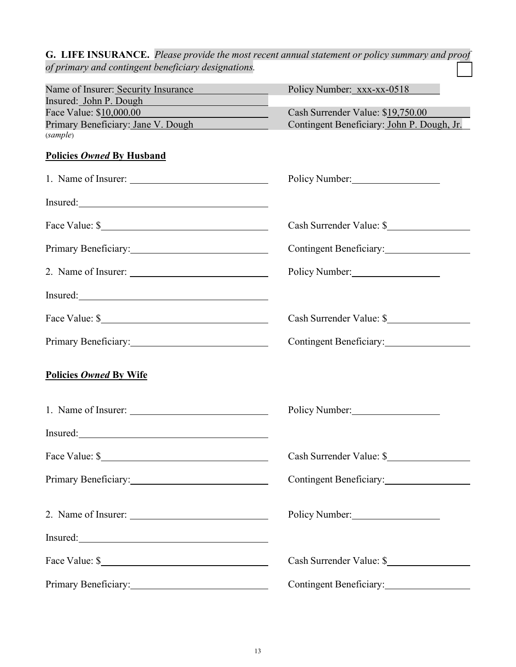|                                                     | <b>G. LIFE INSURANCE.</b> Please provide the most recent annual statement or policy summary and proof |
|-----------------------------------------------------|-------------------------------------------------------------------------------------------------------|
| of primary and contingent beneficiary designations. |                                                                                                       |
| Name of Insurer: Security Insurance                 | Policy Number: xxx-xx-0518                                                                            |
| Insured: John P. Dough                              |                                                                                                       |
| Face Value: \$10,000.00                             | Cash Surrender Value: \$19,750.00                                                                     |
| Primary Beneficiary: Jane V. Dough                  | Contingent Beneficiary: John P. Dough, Jr.                                                            |
| (sample)                                            |                                                                                                       |
| <b>Policies Owned By Husband</b>                    |                                                                                                       |
|                                                     | Policy Number:                                                                                        |
|                                                     |                                                                                                       |
|                                                     | Cash Surrender Value: \$                                                                              |
|                                                     | Contingent Beneficiary:                                                                               |
|                                                     | Policy Number:                                                                                        |
|                                                     |                                                                                                       |
| Face Value: \$                                      | Cash Surrender Value: \$                                                                              |
|                                                     |                                                                                                       |
| Policies Owned By Wife                              |                                                                                                       |
| 1. Name of Insurer:                                 | Policy Number:                                                                                        |
| Insured:                                            |                                                                                                       |
| Face Value: \$                                      | Cash Surrender Value: \$                                                                              |
| Primary Beneficiary:                                | Contingent Beneficiary:                                                                               |
|                                                     | Policy Number:                                                                                        |
| Insured:                                            |                                                                                                       |
| Face Value: \$                                      | Cash Surrender Value: \$                                                                              |
|                                                     | Contingent Beneficiary:                                                                               |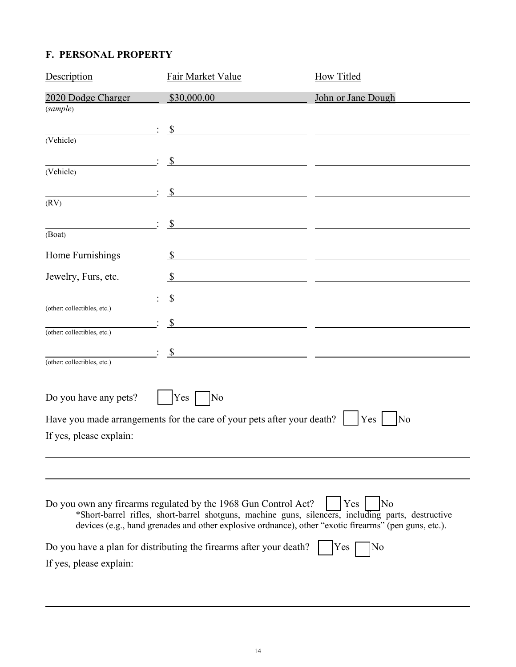## **F. PERSONAL PROPERTY**

| Description                 | Fair Market Value                                                                                                                                                                                                                                                             | How Titled                                                                                                            |
|-----------------------------|-------------------------------------------------------------------------------------------------------------------------------------------------------------------------------------------------------------------------------------------------------------------------------|-----------------------------------------------------------------------------------------------------------------------|
| 2020 Dodge Charger          | \$30,000.00                                                                                                                                                                                                                                                                   | John or Jane Dough                                                                                                    |
| (sample)                    |                                                                                                                                                                                                                                                                               |                                                                                                                       |
| (Vehicle)                   | $\mathbb{S}$                                                                                                                                                                                                                                                                  |                                                                                                                       |
|                             | $\sqrt{\frac{1}{2}}$                                                                                                                                                                                                                                                          |                                                                                                                       |
| (Vehicle)                   | <u> 1989 - Johann Harry Harry Harry Harry Harry Harry Harry Harry Harry Harry Harry Harry Harry Harry Harry Harry</u>                                                                                                                                                         |                                                                                                                       |
|                             | - \$<br><u> 1989 - Johann Stoff, fransk politik (d. 1989)</u>                                                                                                                                                                                                                 |                                                                                                                       |
| (RV)                        |                                                                                                                                                                                                                                                                               |                                                                                                                       |
| (Boat)                      | $\mathbb{S}$<br><u> 1989 - Johann John Stone, mars et al. (</u>                                                                                                                                                                                                               |                                                                                                                       |
| Home Furnishings            |                                                                                                                                                                                                                                                                               |                                                                                                                       |
|                             |                                                                                                                                                                                                                                                                               |                                                                                                                       |
| Jewelry, Furs, etc.         | $\mathbb{S}$<br><u> 1989 - Andrea Andrew Amerikaanse kommunister († 1958)</u>                                                                                                                                                                                                 |                                                                                                                       |
| (other: collectibles, etc.) | $\mathbb{S}$                                                                                                                                                                                                                                                                  | <u> 1989 - Johann Harry Harry Harry Harry Harry Harry Harry Harry Harry Harry Harry Harry Harry Harry Harry Harry</u> |
|                             | $\mathbb{S}$                                                                                                                                                                                                                                                                  | <u> 1989 - Johann Harry Harry Barn, mars and de final and de final and de final and de final and de final and de</u>  |
| (other: collectibles, etc.) |                                                                                                                                                                                                                                                                               |                                                                                                                       |
| (other: collectibles, etc.) | $\mathcal{S}$                                                                                                                                                                                                                                                                 |                                                                                                                       |
|                             |                                                                                                                                                                                                                                                                               |                                                                                                                       |
| Do you have any pets?       | $\overline{\rm No}$<br>$Yes$                                                                                                                                                                                                                                                  |                                                                                                                       |
|                             | Have you made arrangements for the care of your pets after your death?                                                                                                                                                                                                        | Yes<br>No                                                                                                             |
| If yes, please explain:     |                                                                                                                                                                                                                                                                               |                                                                                                                       |
|                             |                                                                                                                                                                                                                                                                               |                                                                                                                       |
|                             |                                                                                                                                                                                                                                                                               |                                                                                                                       |
|                             |                                                                                                                                                                                                                                                                               |                                                                                                                       |
|                             | Do you own any firearms regulated by the 1968 Gun Control Act?<br>*Short-barrel rifles, short-barrel shotguns, machine guns, silencers, including parts, destructive<br>devices (e.g., hand grenades and other explosive ordnance), other "exotic firearms" (pen guns, etc.). | Yes<br>No                                                                                                             |
|                             | Do you have a plan for distributing the firearms after your death?                                                                                                                                                                                                            | No<br>Yes                                                                                                             |
| If yes, please explain:     |                                                                                                                                                                                                                                                                               |                                                                                                                       |
|                             |                                                                                                                                                                                                                                                                               |                                                                                                                       |

 $\overline{a}$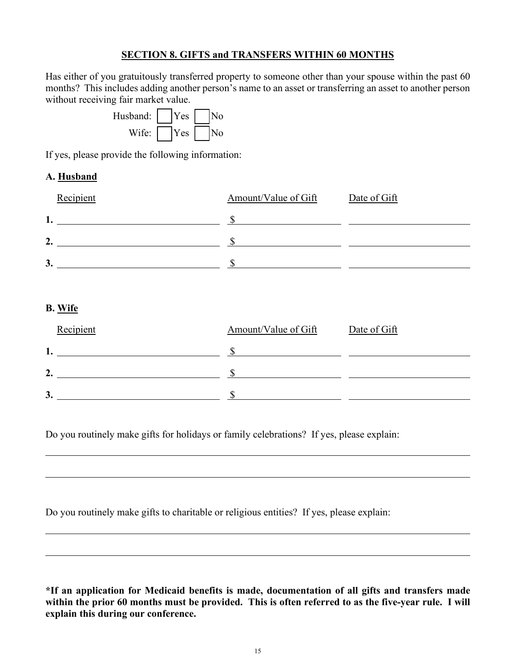#### **SECTION 8. GIFTS and TRANSFERS WITHIN 60 MONTHS**

Has either of you gratuitously transferred property to someone other than your spouse within the past 60 months? This includes adding another person's name to an asset or transferring an asset to another person without receiving fair market value.

| Husband: | Yes |  |
|----------|-----|--|
| Wife:    | Yes |  |

If yes, please provide the following information:

 $\overline{a}$ 

 $\overline{a}$ 

 $\overline{a}$ 

 $\overline{a}$ 

#### **A. Husband**

| Recipient      | Amount/Value of Gift | Date of Gift |
|----------------|----------------------|--------------|
|                |                      |              |
| 2.             |                      |              |
| 3 <sub>1</sub> |                      |              |

#### **B. Wife**

| Recipient | Amount/Value of Gift | Date of Gift |
|-----------|----------------------|--------------|
| 1.        |                      |              |
| 2.        |                      |              |
| 3.        |                      |              |

Do you routinely make gifts for holidays or family celebrations? If yes, please explain:

Do you routinely make gifts to charitable or religious entities? If yes, please explain:

**\*If an application for Medicaid benefits is made, documentation of all gifts and transfers made within the prior 60 months must be provided. This is often referred to as the five-year rule. I will explain this during our conference.**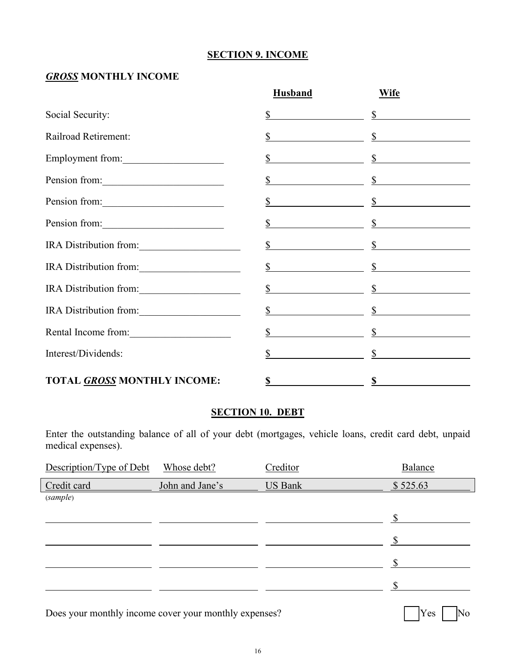#### **SECTION 9. INCOME**

#### *GROSS* **MONTHLY INCOME**

|                                    | <b>Husband</b> | <b>Wife</b>                                             |  |
|------------------------------------|----------------|---------------------------------------------------------|--|
| Social Security:                   |                | $\frac{\text{S}}{\text{S}}$ $\frac{\text{S}}{\text{S}}$ |  |
| Railroad Retirement:               |                | $\frac{s}{s}$                                           |  |
| Employment from:                   |                | $\frac{\text{S}}{\text{S}}$ $\frac{\text{S}}{\text{S}}$ |  |
| Pension from:                      |                | $\frac{\text{S}}{\text{S}}$ $\frac{\text{S}}{\text{S}}$ |  |
| Pension from:                      |                | $\frac{\text{S}}{\text{S}}$ $\frac{\text{S}}{\text{S}}$ |  |
| Pension from:                      |                | $\frac{s}{s}$ set of $\frac{s}{s}$                      |  |
| IRA Distribution from:             |                | $\frac{\S}{}$                                           |  |
| IRA Distribution from:             |                | $\frac{s}{s}$ s and $\frac{s}{s}$                       |  |
| IRA Distribution from:             |                | $\frac{s}{s}$ s second set of $\frac{s}{s}$             |  |
| IRA Distribution from:             |                | $\frac{s}{s}$                                           |  |
| Rental Income from:                |                | $\frac{s}{s}$ s and $\frac{s}{s}$                       |  |
| Interest/Dividends:                |                | $\mathbb{S}$ s                                          |  |
| <b>TOTAL GROSS MONTHLY INCOME:</b> | S              | S                                                       |  |

#### **SECTION 10. DEBT**

Enter the outstanding balance of all of your debt (mortgages, vehicle loans, credit card debt, unpaid medical expenses).

| Description/Type of Debt | Whose debt?     | Creditor       | Balance  |
|--------------------------|-----------------|----------------|----------|
| Credit card              | John and Jane's | <b>US Bank</b> | \$525.63 |
| (sample)                 |                 |                |          |
|                          |                 |                | ፍ        |
|                          |                 |                |          |
|                          |                 |                |          |
|                          |                 |                |          |
|                          |                 |                |          |

Does your monthly income cover your monthly expenses? [ ] Yes [ ] No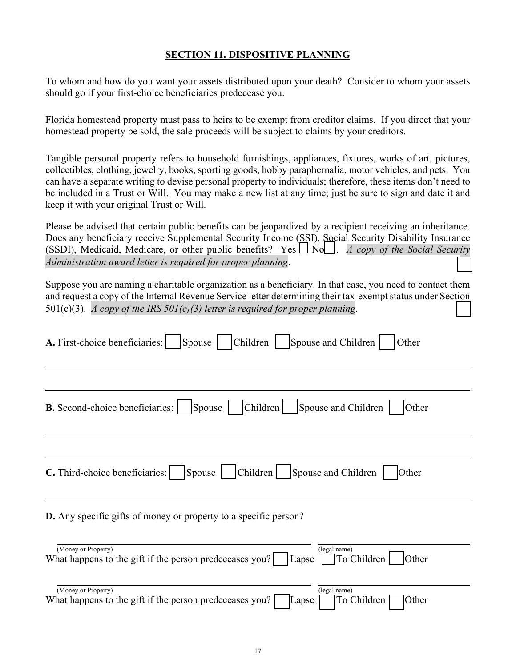#### **SECTION 11. DISPOSITIVE PLANNING**

To whom and how do you want your assets distributed upon your death? Consider to whom your assets should go if your first-choice beneficiaries predecease you.

Florida homestead property must pass to heirs to be exempt from creditor claims. If you direct that your homestead property be sold, the sale proceeds will be subject to claims by your creditors.

Tangible personal property refers to household furnishings, appliances, fixtures, works of art, pictures, collectibles, clothing, jewelry, books, sporting goods, hobby paraphernalia, motor vehicles, and pets. You can have a separate writing to devise personal property to individuals; therefore, these items don't need to be included in a Trust or Will. You may make a new list at any time; just be sure to sign and date it and keep it with your original Trust or Will.

Please be advised that certain public benefits can be jeopardized by a recipient receiving an inheritance. Does any beneficiary receive Supplemental Security Income (SSI), Social Security Disability Insurance (SSDI), Medicaid, Medicare, or other public benefits? Yes  $\Box$  No. *A copy of the Social Security Administration award letter is required for proper planning.* 

Suppose you are naming a charitable organization as a beneficiary. In that case, you need to contact them and request a copy of the Internal Revenue Service letter determining their tax-exempt status under Section 501(c)(3). *A copy of the IRS 501(c)(3) letter is required for proper planning.* 

| A. First-choice beneficiaries:<br>Children  <br>Spouse  <br>Spouse and Children<br>Other                                                      |
|-----------------------------------------------------------------------------------------------------------------------------------------------|
| Children <br><b>B.</b> Second-choice beneficiaries:<br>Spouse and Children<br>Spouse  <br>Other                                               |
| Children    Spouse and Children<br>C. Third-choice beneficiaries:<br>Spouse  <br>Other                                                        |
| <b>D.</b> Any specific gifts of money or property to a specific person?                                                                       |
| (Money or Property)<br>(legal name)<br>What happens to the gift if the person predeceases you?<br>$\Box$ To Children $\Box$<br>Other<br>Lapse |
| (Money or Property)<br>(legal name)<br>What happens to the gift if the person predeceases you?<br>To Children<br>Other<br>Lapse               |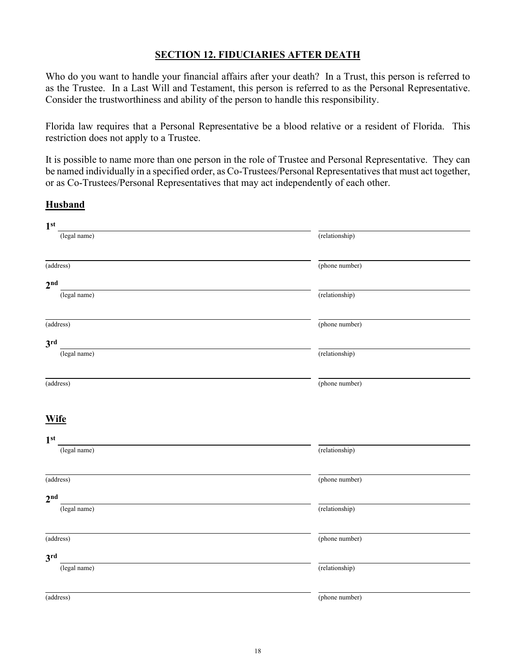#### **SECTION 12. FIDUCIARIES AFTER DEATH**

Who do you want to handle your financial affairs after your death? In a Trust, this person is referred to as the Trustee. In a Last Will and Testament, this person is referred to as the Personal Representative. Consider the trustworthiness and ability of the person to handle this responsibility.

Florida law requires that a Personal Representative be a blood relative or a resident of Florida. This restriction does not apply to a Trustee.

It is possible to name more than one person in the role of Trustee and Personal Representative. They can be named individually in a specified order, as Co-Trustees/Personal Representatives that must act together, or as Co-Trustees/Personal Representatives that may act independently of each other.

**Husband**

# **1st** (legal name) (relationship) (address) (phone number) **2nd** (legal name) (relationship) (address) (phone number) **3rd** (legal name) (relationship) (address) (phone number) **Wife 1st** (legal name) (relationship) (address) (phone number) **2nd** (legal name) (relationship) (address) (phone number) **3rd** (legal name) (relationship) (address) (phone number)